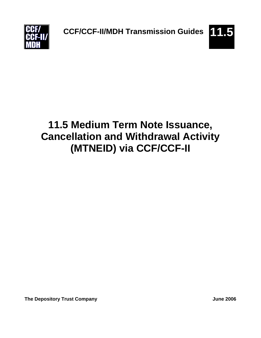**CCF/CCF-II/MDH Transmission Guides 11.5**



# **11.5 Medium Term Note Issuance, Cancellation and Withdrawal Activity (MTNEID) via CCF/CCF-II**

**The Depository Trust Company Company Company Company Company Company Company Company Company Company Company Company**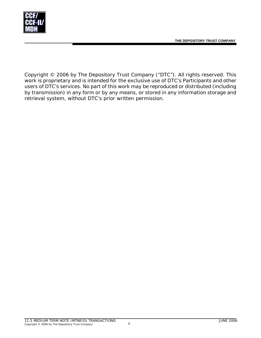

Copyright © 2006 by The Depository Trust Company ("DTC"). All rights reserved. This work is proprietary and is intended for the exclusive use of DTC's Participants and other users of DTC's services. No part of this work may be reproduced or distributed (including by transmission) in any form or by any means, or stored in any information storage and retrieval system, without DTC's prior written permission.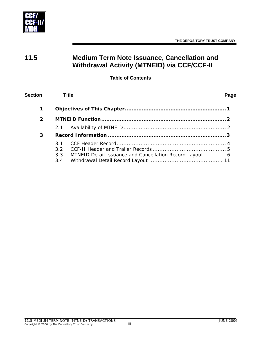

# **11.5 Medium Term Note Issuance, Cancellation and Withdrawal Activity (MTNEID) via CCF/CCF-II**

#### **Table of Contents**

| <b>Section</b> | <b>Title</b>                          |                                                          | Page |
|----------------|---------------------------------------|----------------------------------------------------------|------|
| 1              |                                       |                                                          |      |
| 2              |                                       |                                                          |      |
|                | 2.1                                   |                                                          |      |
| 3              |                                       |                                                          |      |
|                | 3.1<br>3.2 <sub>2</sub><br>3.3<br>3.4 | MTNEID Detail Issuance and Cancellation Record Layout  6 |      |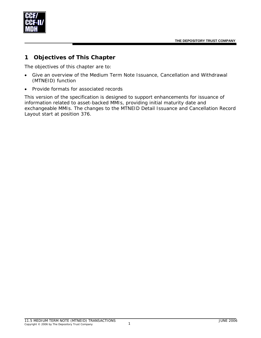<span id="page-3-0"></span>

### **1 Objectives of This Chapter**

The objectives of this chapter are to:

- Give an overview of the Medium Term Note Issuance, Cancellation and Withdrawal (MTNEID) function
- Provide formats for associated records

This version of the specification is designed to support enhancements for issuance of information related to asset-backed MMIs, providing initial maturity date and exchangeable MMIs. The changes to the MTNEID Detail Issuance and Cancellation Record Layout start at position 376.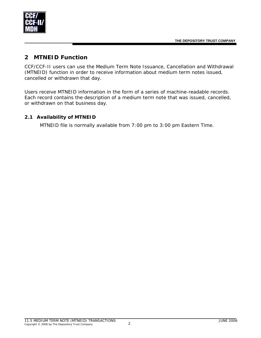<span id="page-4-0"></span>

## **2 MTNEID Function**

CCF/CCF-II users can use the Medium Term Note Issuance, Cancellation and Withdrawal (MTNEID) function in order to receive information about medium term notes issued, cancelled or withdrawn that day.

Users receive MTNEID information in the form of a series of machine-readable records. Each record contains the description of a medium term note that was issued, cancelled, or withdrawn on that business day.

#### **2.1 Availability of MTNEID**

MTNEID file is normally available from 7:00 pm to 3:00 pm Eastern Time.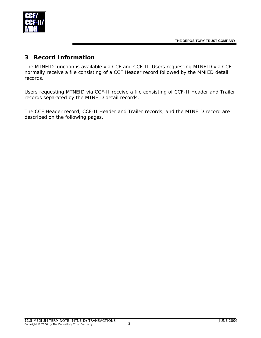<span id="page-5-0"></span>

### **3 Record Information**

The MTNEID function is available via CCF and CCF-II. Users requesting MTNEID via CCF normally receive a file consisting of a CCF Header record followed by the MMIED detail records.

Users requesting MTNEID via CCF-II receive a file consisting of CCF-II Header and Trailer records separated by the MTNEID detail records.

The CCF Header record, CCF-II Header and Trailer records, and the MTNEID record are described on the following pages.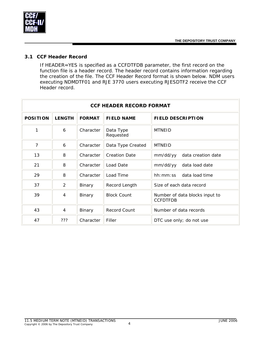<span id="page-6-0"></span>

#### **3.1 CCF Header Record**

If HEADER=YES is specified as a CCFDTFDB parameter, the first record on the function file is a header record. The header record contains information regarding the creation of the file. The CCF Header Record format is shown below. NDM users executing NDMDTF01 and RJE 3770 users executing RJESDTF2 receive the CCF Header record.

| <b>CCF HEADER RECORD FORMAT</b> |                |               |                        |                                                   |  |
|---------------------------------|----------------|---------------|------------------------|---------------------------------------------------|--|
| <b>POSITION</b>                 | <b>LENGTH</b>  | <b>FORMAT</b> | <b>FIELD NAME</b>      | <b>FIELD DESCRIPTION</b>                          |  |
| 1                               | 6              | Character     | Data Type<br>Requested | <b>MTNEID</b>                                     |  |
| 7                               | 6              | Character     | Data Type Created      | <b>MTNEID</b>                                     |  |
| 13                              | 8              | Character     | <b>Creation Date</b>   | mm/dd/yy<br>data creation date                    |  |
| 21                              | 8              | Character     | Load Date              | mm/dd/yy<br>data load date                        |  |
| 29                              | 8              | Character     | Load Time              | hh: mm: ss<br>data load time                      |  |
| 37                              | $\overline{2}$ | Binary        | Record Length          | Size of each data record                          |  |
| 39                              | $\overline{4}$ | Binary        | <b>Block Count</b>     | Number of data blocks input to<br><b>CCFDTFDB</b> |  |
| 43                              | $\overline{4}$ | Binary        | <b>Record Count</b>    | Number of data records                            |  |
| 47                              | ???            | Character     | Filler                 | DTC use only; do not use                          |  |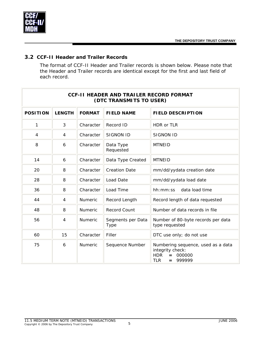<span id="page-7-0"></span>

#### **3.2 CCF-II Header and Trailer Records**

The format of CCF-II Header and Trailer records is shown below. Please note that the Header and Trailer records are identical except for the first and last field of each record.

| <b>CCF-II HEADER AND TRAILER RECORD FORMAT</b><br>(DTC TRANSMITS TO USER) |                |                |                           |                                                                                                                      |  |
|---------------------------------------------------------------------------|----------------|----------------|---------------------------|----------------------------------------------------------------------------------------------------------------------|--|
| <b>POSITION</b>                                                           | <b>LENGTH</b>  | <b>FORMAT</b>  | <b>FIELD NAME</b>         | <b>FIELD DESCRIPTION</b>                                                                                             |  |
| 1                                                                         | 3              | Character      | Record ID                 | HDR or TLR                                                                                                           |  |
| $\overline{4}$                                                            | $\overline{4}$ | Character      | <b>SIGNON ID</b>          | <b>SIGNON ID</b>                                                                                                     |  |
| 8                                                                         | 6              | Character      | Data Type<br>Requested    | <b>MTNEID</b>                                                                                                        |  |
| 14                                                                        | 6              | Character      | Data Type Created         | <b>MTNEID</b>                                                                                                        |  |
| 20                                                                        | 8              | Character      | <b>Creation Date</b>      | mm/dd/yydata creation date                                                                                           |  |
| 28                                                                        | 8              | Character      | Load Date                 | mm/dd/yydata load date                                                                                               |  |
| 36                                                                        | 8              | Character      | Load Time                 | data load time<br>hh:mm:ss                                                                                           |  |
| 44                                                                        | $\overline{4}$ | <b>Numeric</b> | Record Length             | Record length of data requested                                                                                      |  |
| 48                                                                        | 8              | Numeric        | Record Count              | Number of data records in file                                                                                       |  |
| 56                                                                        | 4              | Numeric        | Segments per Data<br>Type | Number of 80-byte records per data<br>type requested                                                                 |  |
| 60                                                                        | 15             | Character      | Filler                    | DTC use only; do not use                                                                                             |  |
| 75                                                                        | 6              | <b>Numeric</b> | Sequence Number           | Numbering sequence, used as a data<br>integrity check:<br><b>HDR</b><br>000000<br>$=$<br><b>TLR</b><br>999999<br>$=$ |  |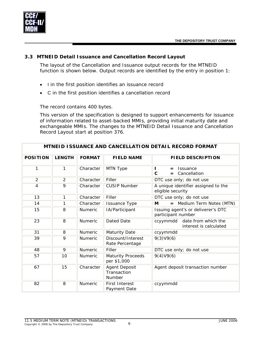

<span id="page-8-0"></span>

#### **3.3 MTNEID Detail Issuance and Cancellation Record Layout**

The layout of the Cancellation and Issuance output records for the MTNEID function is shown below. Output records are identified by the entry in position 1:

- I in the first position identifies an issuance record
- C in the first position identifies a cancellation record

The record contains 400 bytes.

This version of the specification is designed to support enhancements for issuance of information related to asset-backed MMIs, providing initial maturity date and exchangeable MMIs. The changes to the MTNEID Detail Issuance and Cancellation Record Layout start at position 376.

| MTNEID ISSUANCE AND CANCELLATION DETAIL RECORD FORMAT |               |                |                                         |                                                              |  |
|-------------------------------------------------------|---------------|----------------|-----------------------------------------|--------------------------------------------------------------|--|
| <b>POSITION</b>                                       | <b>LENGTH</b> | <b>FORMAT</b>  | <b>FIELD NAME</b>                       | <b>FIELD DESCRIPTION</b>                                     |  |
| 1                                                     | 1             | Character      | MTN Type                                | <b>Issuance</b><br>$=$<br>$\mathbf C$<br>Cancellation<br>$=$ |  |
| $\overline{2}$                                        | 2             | Character      | Filler                                  | DTC use only; do not use                                     |  |
| $\overline{4}$                                        | 9             | Character      | <b>CUSIP Number</b>                     | A unique identifier assigned to the<br>eligible security     |  |
| 13                                                    | 1             | Character      | Filler                                  | DTC use only; do not use                                     |  |
| 14                                                    | 1             | Character      | <b>Issuance Type</b>                    | = Medium Term Notes (MTN)<br>М                               |  |
| 15                                                    | 8             | Numeric        | IA/Participant                          | Issuing agent's or deliverer's DTC<br>participant number     |  |
| 23                                                    | 8             | Numeric        | <b>Dated Date</b>                       | date from which the<br>ccyymmdd<br>interest is calculated    |  |
| 31                                                    | 8             | Numeric        | <b>Maturity Date</b>                    | ccyymmdd                                                     |  |
| 39                                                    | 9             | <b>Numeric</b> | Discount/Interest<br>Rate Percentage    | 9(3)V9(6)                                                    |  |
| 48                                                    | 9             | Numeric        | Filler                                  | DTC use only; do not use                                     |  |
| 57                                                    | 10            | <b>Numeric</b> | <b>Maturity Proceeds</b><br>per \$1,000 | 9(4)V9(6)                                                    |  |
| 67                                                    | 15            | Character      | Agent Deposit<br>Transaction<br>Number  | Agent deposit transaction number                             |  |
| 82                                                    | 8             | <b>Numeric</b> | <b>First Interest</b><br>Payment Date   | ccyymmdd                                                     |  |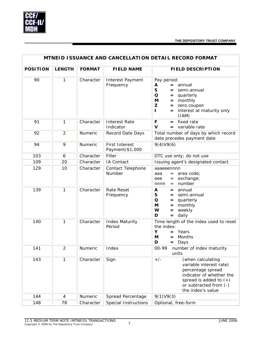

| MTNEID ISSUANCE AND CANCELLATION DETAIL RECORD FORMAT |                |               |                                          |                                                                                                                                                                                                     |  |
|-------------------------------------------------------|----------------|---------------|------------------------------------------|-----------------------------------------------------------------------------------------------------------------------------------------------------------------------------------------------------|--|
| <b>POSITION</b>                                       | <b>LENGTH</b>  | <b>FORMAT</b> | <b>FIELD NAME</b>                        | <b>FIELD DESCRIPTION</b>                                                                                                                                                                            |  |
| 90                                                    | 1              | Character     | Interest Payment<br>Frequency            | Pay period:<br>$=$ annual<br>A<br>${\sf S}$<br>semi-annual<br>$=$<br>$\mathbf O$<br>$=$ quarterly<br>M<br>$=$ monthly<br>Z<br>= zero coupon<br>= interest at maturity only<br>$\mathbf{I}$<br>(IAM) |  |
| 91                                                    | $\mathbf{1}$   | Character     | <b>Interest Rate</b><br>Indicator        | $=$ fixed rate<br>F<br>$\mathbf v$<br>variable rate<br>$=$                                                                                                                                          |  |
| 92                                                    | $\overline{2}$ | Numeric       | Record Date Days                         | Total number of days by which record<br>date precedes payment date                                                                                                                                  |  |
| 94                                                    | 9              | Numeric       | <b>First Interest</b><br>Payment/\$1,000 | 9(4)V9(6)                                                                                                                                                                                           |  |
| 103                                                   | 6              | Character     | Filler                                   | DTC use only; do not use                                                                                                                                                                            |  |
| 109                                                   | 20             | Character     | IA Contact                               | Issuing agent's designated contact                                                                                                                                                                  |  |
| 129                                                   | 10             | Character     | Contact Telephone<br>Number              | aaaeeennnn<br>$=$ area code;<br>ааа<br>exchange;<br>eee<br>$=$<br>number<br>nnnn<br>$=$                                                                                                             |  |
| 139                                                   | 1              | Character     | <b>Rate Reset</b><br>Frequency           | A<br>annual<br>$=$<br>S<br>= semi-annual<br>$\mathbf O$<br>$=$ quarterly<br>M<br>$=$ monthly<br>W<br>weekly<br>$=$<br>D<br>$=$ daily                                                                |  |
| 140                                                   | $\mathbf{1}$   | Character     | <b>Index Maturity</b><br>Period          | Time length of the index used to reset<br>the index:<br>Y<br>Years<br>$=$<br>Months<br>M<br>$=$<br>D<br>Days<br>$=$                                                                                 |  |
| 141                                                   | $\overline{2}$ | Numeric       | Index                                    | 00-99<br>number of index maturity<br>units                                                                                                                                                          |  |
| 143                                                   | $\mathbf{1}$   | Character     | Sign                                     | $+/-$<br>(when calculating<br>variable interest rate)<br>percentage spread<br>indicator of whether the<br>spread is added to $(+)$<br>or subtracted from (-)<br>the index's value                   |  |
| 144                                                   | 4              | Numeric       | Spread Percentage                        | 9(1)V9(3)                                                                                                                                                                                           |  |
| 148                                                   | 78             | Character     | <b>Special Instructions</b>              | Optional, free-form                                                                                                                                                                                 |  |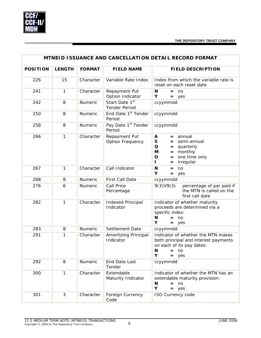

|                 | <b>MTNEID ISSUANCE AND CANCELLATION DETAIL RECORD FORMAT</b> |                |                                           |                                                                                                                                                             |  |  |
|-----------------|--------------------------------------------------------------|----------------|-------------------------------------------|-------------------------------------------------------------------------------------------------------------------------------------------------------------|--|--|
| <b>POSITION</b> | <b>LENGTH</b>                                                | <b>FORMAT</b>  | <b>FIELD NAME</b>                         | <b>FIELD DESCRIPTION</b>                                                                                                                                    |  |  |
| 226             | 15                                                           | Character      | Variable Rate Index                       | Index from which the variable rate is<br>reset on each reset date                                                                                           |  |  |
| 241             | 1                                                            | Character      | Repayment Put<br>Option Indicator         | N<br>$=$ no<br>Υ<br>$=$ yes                                                                                                                                 |  |  |
| 242             | 8                                                            | <b>Numeric</b> | Start Date 1st<br><b>Tender Period</b>    | ccyymmdd                                                                                                                                                    |  |  |
| 250             | 8                                                            | <b>Numeric</b> | End Date 1 <sup>st</sup> Tender<br>Period | ccyymmdd                                                                                                                                                    |  |  |
| 258             | 8                                                            | Numeric        | Pay Date 1 <sup>st</sup> Tender<br>Period | ccyymmdd                                                                                                                                                    |  |  |
| 266             | 1                                                            | Character      | Repayment Put<br><b>Option Frequency</b>  | A<br>annual<br>$=$<br>S<br>semi-annual<br>$=$<br>Q<br>quarterly<br>$=$<br>M<br>monthly<br>$=$<br>one time only<br>$\mathbf O$<br>$=$<br>irregular<br>Н<br>= |  |  |
| 267             | 1                                                            | Character      | Call Indicator                            | N<br>no<br>$=$<br>Υ<br>yes<br>$=$                                                                                                                           |  |  |
| 268             | 8                                                            | Numeric        | First Call Date                           | ccyymmdd                                                                                                                                                    |  |  |
| 276             | 6                                                            | Numeric        | Call Price<br>Percentage                  | 9(3)V9(3)<br>percentage of par paid if<br>the MTN is called on the<br>first call date                                                                       |  |  |
| 282             | 1                                                            | Character      | <b>Indexed Principal</b><br>Indicator     | Indicator of whether maturity<br>proceeds are determined via a<br>specific index:<br>N<br>$=$ no<br>Υ<br>$=$ yes                                            |  |  |
| 283             | 8                                                            | Numeric        | Settlement Date                           | ccyymmdd                                                                                                                                                    |  |  |
| 291             | 1                                                            | Character      | Amortizing Principal<br>Indicator         | Indicator of whether the MTN makes<br>both principal and interest payments<br>on each of its pay dates:<br>N<br>$=$ no<br>Υ<br>$=$ yes                      |  |  |
| 292             | 8                                                            | Numeric        | End Date Last<br>Tender                   | ccyymmdd                                                                                                                                                    |  |  |
| 300             | 1                                                            | Character      | Extendable<br>Maturity Indicator          | Indicator of whether the MTN has an<br>extendable maturity provision:<br>N<br>no<br>$=$<br>Υ<br>$=$ yes                                                     |  |  |
| 301             | 3                                                            | Character      | Foreign Currency<br>Code                  | ISO Currency code                                                                                                                                           |  |  |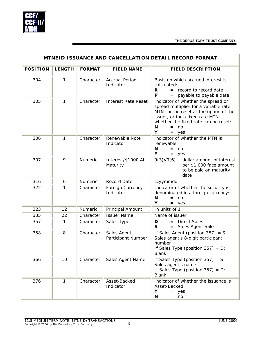

|                 | MTNEID ISSUANCE AND CANCELLATION DETAIL RECORD FORMAT |               |                                    |                                                                                                                                                                                                                                 |  |  |
|-----------------|-------------------------------------------------------|---------------|------------------------------------|---------------------------------------------------------------------------------------------------------------------------------------------------------------------------------------------------------------------------------|--|--|
| <b>POSITION</b> | <b>LENGTH</b>                                         | <b>FORMAT</b> | <b>FIELD NAME</b>                  | <b>FIELD DESCRIPTION</b>                                                                                                                                                                                                        |  |  |
| 304             | 1                                                     | Character     | <b>Accrual Period</b><br>Indicator | Basis on which accrued interest is<br>calculated:<br>$=$ record to record date<br>R<br>$\mathsf{P}$<br>= payable to payable date                                                                                                |  |  |
| 305             | 1                                                     | Character     | <b>Interest Rate Reset</b>         | Indicator of whether the spread or<br>spread multiplier for a variable rate<br>MTN can be reset at the option of the<br>issuer, or for a fixed rate MTN,<br>whether the fixed rate can be reset:<br>N<br>$=$ no<br>Υ<br>$=$ yes |  |  |
| 306             | 1                                                     | Character     | Renewable Note<br>Indicator        | Indicator of whether the MTN is<br>renewable:<br>N<br>$=$ no<br>Υ<br>$=$ yes                                                                                                                                                    |  |  |
| 307             | 9                                                     | Numeric       | Interest/\$1000 At<br>Maturity     | 9(3)V9(6)<br>dollar amount of interest<br>per \$1,000 face amount<br>to be paid on maturity<br>date                                                                                                                             |  |  |
| 316             | 6                                                     | Numeric       | <b>Record Date</b>                 | ccyymmdd                                                                                                                                                                                                                        |  |  |
| 322             | 1                                                     | Character     | Foreign Currency<br>Indicator      | Indicator of whether the security is<br>denominated in a foreign currency:<br>$\mathbf N$<br>no<br>$=$<br>Υ<br>yes<br>=                                                                                                         |  |  |
| 323             | 12                                                    | Numeric       | Principal Amount                   | In units of 1                                                                                                                                                                                                                   |  |  |
| 335             | 22                                                    | Character     | <b>Issuer Name</b>                 | Name of issuer                                                                                                                                                                                                                  |  |  |
| 357             | $\mathbf{1}$                                          | Character     | Sales Type                         | <b>Direct Sales</b><br>D<br>$=$<br>S<br>= Sales Agent Sale                                                                                                                                                                      |  |  |
| 358             | 8                                                     | Character     | Sales Agent<br>Participant Number  | If Sales Agent (position $357$ ) = S:<br>Sales agent's 8-digit participant<br>number<br>If Sales Type (position $357$ ) = D:<br><b>Blank</b>                                                                                    |  |  |
| 366             | 10                                                    | Character     | Sales Agent Name                   | If Sales Type (position $357$ ) = S:<br>Sales agent's name<br>If Sales Type (position $357$ ) = D:<br><b>Blank</b>                                                                                                              |  |  |
| 376             | $\mathbf{1}$                                          | Character     | Asset-Backed<br>Indicator          | Indicator of whether the issuance is<br>Asset-Backed<br>Υ<br>$=$ yes<br>N<br>no<br>$=$                                                                                                                                          |  |  |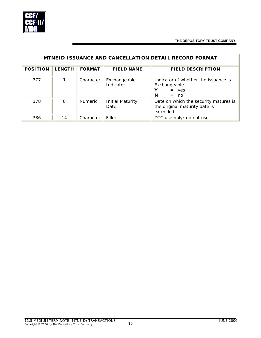

| <b>MTNEID ISSUANCE AND CANCELLATION DETAIL RECORD FORMAT</b> |               |                |                                 |                                                                                     |  |
|--------------------------------------------------------------|---------------|----------------|---------------------------------|-------------------------------------------------------------------------------------|--|
| <b>POSITION</b>                                              | <b>LENGTH</b> | <b>FORMAT</b>  | <b>FIELD NAME</b>               | <b>FIELD DESCRIPTION</b>                                                            |  |
| 377                                                          |               | Character      | Exchangeable<br>Indicator       | Indicator of whether the issuance is<br>Exchangeable<br>Y<br>$=$ yes<br>N<br>$=$ no |  |
| 378                                                          | 8             | <b>Numeric</b> | <b>Initial Maturity</b><br>Date | Date on which the security matures is<br>the original maturity date is<br>extended. |  |
| 386                                                          | 14            | Character      | Filler                          | DTC use only; do not use                                                            |  |